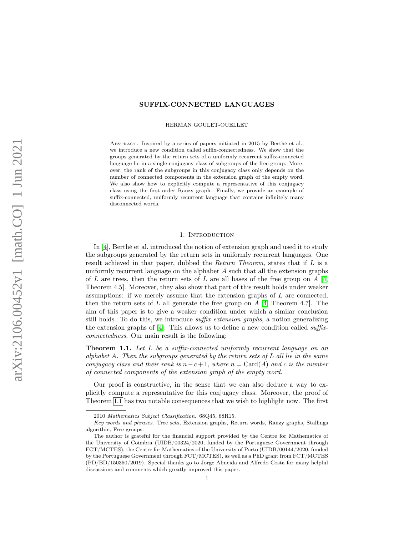# SUFFIX-CONNECTED LANGUAGES

HERMAN GOULET-OUELLET

ABSTRACT. Inspired by a series of papers initiated in 2015 by Berthé et al., we introduce a new condition called suffix-connectedness. We show that the groups generated by the return sets of a uniformly recurrent suffix-connected language lie in a single conjugacy class of subgroups of the free group. Moreover, the rank of the subgroups in this conjugacy class only depends on the number of connected components in the extension graph of the empty word. We also show how to explicitly compute a representative of this conjugacy class using the first order Rauzy graph. Finally, we provide an example of suffix-connected, uniformly recurrent language that contains infinitely many disconnected words.

### 1. Introduction

In [\[4\]](#page-23-0), Berthé et al. introduced the notion of extension graph and used it to study the subgroups generated by the return sets in uniformly recurrent languages. One result achieved in that paper, dubbed the Return Theorem, states that if L is a uniformly recurrent language on the alphabet A such that all the extension graphs of L are trees, then the return sets of L are all bases of the free group on  $A \, 14$ , Theorem 4.5]. Moreover, they also show that part of this result holds under weaker assumptions: if we merely assume that the extension graphs of L are connected, then the return sets of L all generate the free group on  $A \, 4$ , Theorem 4.7. The aim of this paper is to give a weaker condition under which a similar conclusion still holds. To do this, we introduce *suffix extension graphs*, a notion generalizing the extension graphs of [\[4\]](#page-23-0). This allows us to define a new condition called suffixconnectedness. Our main result is the following:

<span id="page-0-0"></span>**Theorem 1.1.** Let  $L$  be a suffix-connected uniformly recurrent language on an alphabet A. Then the subgroups generated by the return sets of  $L$  all lie in the same conjugacy class and their rank is  $n-c+1$ , where  $n = \text{Card}(A)$  and c is the number of connected components of the extension graph of the empty word.

Our proof is constructive, in the sense that we can also deduce a way to explicitly compute a representative for this conjugacy class. Moreover, the proof of Theorem [1.1](#page-0-0) has two notable consequences that we wish to highlight now. The first

<sup>2010</sup> Mathematics Subject Classification. 68Q45, 68R15.

Key words and phrases. Tree sets, Extension graphs, Return words, Rauzy graphs, Stallings algorithm, Free groups.

The author is grateful for the financial support provided by the Centre for Mathematics of the University of Coimbra (UIDB/00324/2020, funded by the Portuguese Government through FCT/MCTES), the Centre for Mathematics of the University of Porto (UIDB/00144/2020, funded by the Portuguese Government through FCT/MCTES), as well as a PhD grant from FCT/MCTES (PD/BD/150350/2019). Special thanks go to Jorge Almeida and Alfredo Costa for many helpful discussions and comments which greatly improved this paper.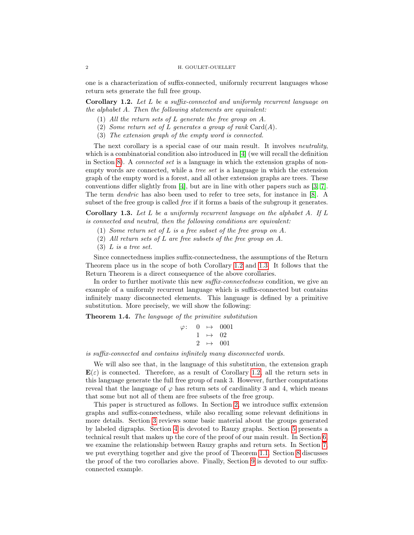one is a characterization of suffix-connected, uniformly recurrent languages whose return sets generate the full free group.

<span id="page-1-0"></span>Corollary 1.2. Let L be a suffix-connected and uniformly recurrent language on the alphabet A. Then the following statements are equivalent:

- (1) All the return sets of L generate the free group on A.
- (2) Some return set of L generates a group of rank  $\text{Card}(A)$ .
- (3) The extension graph of the empty word is connected.

The next corollary is a special case of our main result. It involves *neutrality*, which is a combinatorial condition also introduced in [\[4\]](#page-23-0) (we will recall the definition in Section [8\)](#page-13-0). A connected set is a language in which the extension graphs of nonempty words are connected, while a tree set is a language in which the extension graph of the empty word is a forest, and all other extension graphs are trees. These conventions differ slightly from [\[4\]](#page-23-0), but are in line with other papers such as [\[3,](#page-23-1) [7\]](#page-23-2). The term dendric has also been used to refer to tree sets, for instance in [\[8\]](#page-23-3). A subset of the free group is called *free* if it forms a basis of the subgroup it generates.

<span id="page-1-1"></span>**Corollary 1.3.** Let L be a uniformly recurrent language on the alphabet A. If L is connected and neutral, then the following conditions are equivalent:

- (1) Some return set of L is a free subset of the free group on A.
- (2) All return sets of L are free subsets of the free group on A.
- (3) L is a tree set.

Since connectedness implies suffix-connectedness, the assumptions of the Return Theorem place us in the scope of both Corollary [1.2](#page-1-0) and [1.3.](#page-1-1) It follows that the Return Theorem is a direct consequence of the above corollaries.

In order to further motivate this new *suffix-connectedness* condition, we give an example of a uniformly recurrent language which is suffix-connected but contains infinitely many disconnected elements. This language is defined by a primitive substitution. More precisely, we will show the following:

<span id="page-1-2"></span>Theorem 1.4. The language of the primitive substitution

$$
\begin{array}{rcl}\n\varphi: & 0 & \mapsto & 0001 \\
& 1 & \mapsto & 02 \\
& 2 & \mapsto & 001\n\end{array}
$$

is suffix-connected and contains infinitely many disconnected words.

We will also see that, in the language of this substitution, the extension graph  $\mathbf{E}(\varepsilon)$  is connected. Therefore, as a result of Corollary [1.2,](#page-1-0) all the return sets in this language generate the full free group of rank 3. However, further computations reveal that the language of  $\varphi$  has return sets of cardinality 3 and 4, which means that some but not all of them are free subsets of the free group.

This paper is structured as follows. In Section [2,](#page-2-0) we introduce suffix extension graphs and suffix-connectedness, while also recalling some relevant definitions in more details. Section [3](#page-3-0) reviews some basic material about the groups generated by labeled digraphs. Section [4](#page-7-0) is devoted to Rauzy graphs. Section [5](#page-8-0) presents a technical result that makes up the core of the proof of our main result. In Section [6,](#page-10-0) we examine the relationship between Rauzy graphs and return sets. In Section [7,](#page-12-0) we put everything together and give the proof of Theorem [1.1.](#page-0-0) Section [8](#page-13-0) discusses the proof of the two corollaries above. Finally, Section [9](#page-15-0) is devoted to our suffixconnected example.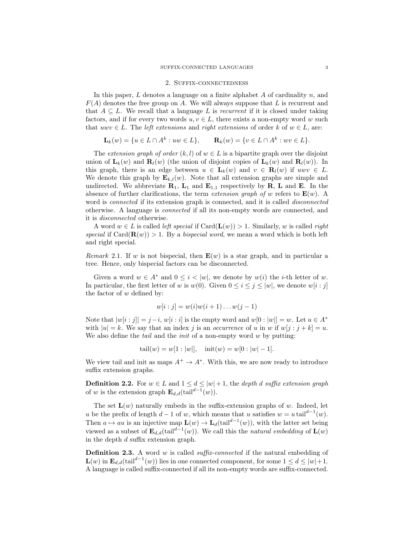#### 2. Suffix-connectedness

<span id="page-2-0"></span>In this paper,  $L$  denotes a language on a finite alphabet  $A$  of cardinality  $n$ , and  $F(A)$  denotes the free group on A. We will always suppose that L is recurrent and that  $A \subseteq L$ . We recall that a language L is recurrent if it is closed under taking factors, and if for every two words  $u, v \in L$ , there exists a non-empty word w such that  $uvw \in L$ . The *left extensions* and *right extensions* of order k of  $w \in L$ , are:

$$
\mathbf{L}_k(w) = \{ u \in L \cap A^k : uw \in L \}, \qquad \mathbf{R}_k(w) = \{ v \in L \cap A^k : wv \in L \}.
$$

The extension graph of order  $(k, l)$  of  $w \in L$  is a bipartite graph over the disjoint union of  $\mathbf{L}_k(w)$  and  $\mathbf{R}_l(w)$  (the union of disjoint copies of  $\mathbf{L}_k(w)$  and  $\mathbf{R}_l(w)$ ). In this graph, there is an edge between  $u \in L_k(w)$  and  $v \in R_l(w)$  if  $uwv \in L$ . We denote this graph by  $\mathbf{E}_{k,l}(w)$ . Note that all extension graphs are simple and undirected. We abbreviate  $\mathbf{R}_1$ ,  $\mathbf{L}_1$  and  $\mathbf{E}_{1,1}$  respectively by  $\mathbf{R}$ ,  $\mathbf{L}$  and  $\mathbf{E}$ . In the absence of further clarifications, the term extension graph of w refers to  $\mathbf{E}(w)$ . A word is connected if its extension graph is connected, and it is called disconnected otherwise. A language is connected if all its non-empty words are connected, and it is disconnected otherwise.

A word  $w \in L$  is called *left special* if  $Card(\mathbf{L}(w)) > 1$ . Similarly, w is called *right* special if Card $(\mathbf{R}(w)) > 1$ . By a bispecial word, we mean a word which is both left and right special.

Remark 2.1. If w is not bispecial, then  $\mathbf{E}(w)$  is a star graph, and in particular a tree. Hence, only bispecial factors can be disconnected.

Given a word  $w \in A^*$  and  $0 \leq i \leq |w|$ , we denote by  $w(i)$  the *i*-th letter of w. In particular, the first letter of w is  $w(0)$ . Given  $0 \le i \le j \le |w|$ , we denote  $w[i:j]$ the factor of  $w$  defined by:

$$
w[i : j] = w(i)w(i + 1)...w(j - 1)
$$

Note that  $|w[i:j]| = j-i, w[i:i]$  is the empty word and  $w[0:|w|] = w$ . Let  $u \in A^*$ with  $|u| = k$ . We say that an index j is an occurrence of u in w if  $w[j : j + k] = u$ . We also define the *tail* and the *init* of a non-empty word  $w$  by putting:

$$
tail(w) = w[1 : |w|], \quad \text{init}(w) = w[0 : |w| - 1].
$$

We view tail and init as maps  $A^+ \to A^*$ . With this, we are now ready to introduce suffix extension graphs.

**Definition 2.2.** For  $w \in L$  and  $1 \leq d \leq |w| + 1$ , the *depth d suffix extension graph* of w is the extension graph  $\mathbf{E}_{d,d}(\text{tail}^{d-1}(w)).$ 

The set  $\mathbf{L}(w)$  naturally embeds in the suffix-extension graphs of w. Indeed, let u be the prefix of length  $d-1$  of w, which means that u satisfies  $w = u \tanh^{d-1}(w)$ . Then  $a \mapsto au$  is an injective map  $\mathbf{L}(w) \to \mathbf{L}_d(\text{tail}^{d-1}(w))$ , with the latter set being viewed as a subset of  $\mathbf{E}_{d,d}(\text{tail}^{d-1}(w))$ . We call this the natural embedding of  $\mathbf{L}(w)$ in the depth d suffix extension graph.

**Definition 2.3.** A word w is called *suffix-connected* if the natural embedding of  $\mathbf{L}(w)$  in  $\mathbf{E}_{d,d}(\text{tail}^{d-1}(w))$  lies in one connected component, for some  $1 \leq d \leq |w|+1$ . A language is called suffix-connected if all its non-empty words are suffix-connected.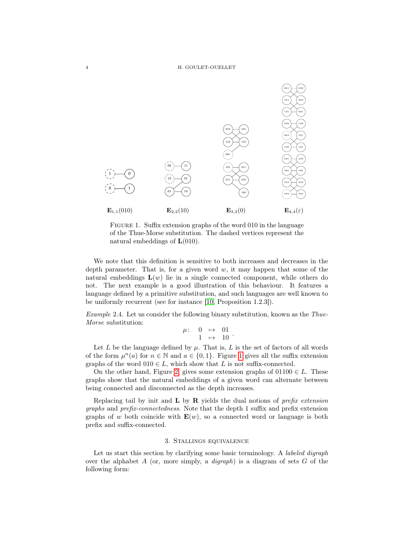

<span id="page-3-1"></span>FIGURE 1. Suffix extension graphs of the word 010 in the language of the Thue-Morse substitution. The dashed vertices represent the natural embeddings of  $L(010)$ .

We note that this definition is sensitive to both increases and decreases in the depth parameter. That is, for a given word  $w$ , it may happen that some of the natural embeddings  $L(w)$  lie in a single connected component, while others do not. The next example is a good illustration of this behaviour. It features a language defined by a primitive substitution, and such languages are well known to be uniformly recurrent (see for instance [\[10,](#page-23-4) Proposition 1.2.3]).

Example 2.4. Let us consider the following binary substitution, known as the Thue-Morse substitution:

$$
\begin{array}{rcl} \mu: & 0 & \mapsto & 01 \\ & 1 & \mapsto & 10 \end{array}.
$$

Let L be the language defined by  $\mu$ . That is, L is the set of factors of all words of the form  $\mu^n(a)$  for  $n \in \mathbb{N}$  and  $a \in \{0,1\}$ . Figure [1](#page-3-1) gives all the suffix extension graphs of the word  $010 \in L$ , which show that L is not suffix-connected.

On the other hand, Figure [2,](#page-4-0) gives some extension graphs of  $01100 \in L$ . These graphs show that the natural embeddings of a given word can alternate between being connected and disconnected as the depth increases.

Replacing tail by init and  $L$  by  $R$  yields the dual notions of *prefix extension* graphs and prefix-connectedness. Note that the depth 1 suffix and prefix extension graphs of w both coincide with  $\mathbf{E}(w)$ , so a connected word or language is both prefix and suffix-connected.

## 3. Stallings equivalence

<span id="page-3-0"></span>Let us start this section by clarifying some basic terminology. A *labeled digraph* over the alphabet A (or, more simply, a *digraph*) is a diagram of sets  $G$  of the following form: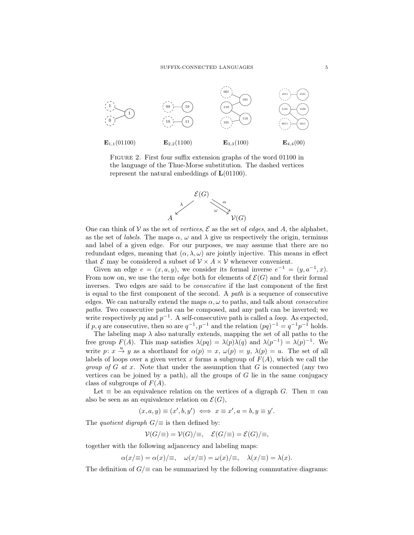

<span id="page-4-0"></span>Figure 2. First four suffix extension graphs of the word 01100 in the language of the Thue-Morse substitution. The dashed vertices represent the natural embeddings of  $\mathbf{L}(01100)$ .



One can think of V as the set of vertices,  $\mathcal E$  as the set of edges, and A, the alphabet, as the set of *labels*. The maps  $\alpha$ ,  $\omega$  and  $\lambda$  give us respectively the origin, terminus and label of a given edge. For our purposes, we may assume that there are no redundant edges, meaning that  $(\alpha, \lambda, \omega)$  are jointly injective. This means in effect that  $\mathcal E$  may be considered a subset of  $\mathcal V \times A \times \mathcal V$  whenever convenient.

Given an edge  $e = (x, a, y)$ , we consider its formal inverse  $e^{-1} = (y, a^{-1}, x)$ . From now on, we use the term *edge* both for elements of  $\mathcal{E}(G)$  and for their formal inverses. Two edges are said to be consecutive if the last component of the first is equal to the first component of the second. A path is a sequence of consecutive edges. We can naturally extend the maps  $\alpha, \omega$  to paths, and talk about *consecutive* paths. Two consecutive paths can be composed, and any path can be inverted; we write respectively pq and  $p^{-1}$ . A self-consecutive path is called a *loop*. As expected, if p, q are consecutive, then so are  $q^{-1}$ ,  $p^{-1}$  and the relation  $(pq)^{-1} = q^{-1}p^{-1}$  holds.

The labeling map  $\lambda$  also naturally extends, mapping the set of all paths to the free group  $F(A)$ . This map satisfies  $\lambda(pq) = \lambda(p)\lambda(q)$  and  $\lambda(p^{-1}) = \lambda(p)^{-1}$ . We write  $p: x \stackrel{u}{\rightarrow} y$  as a shorthand for  $\alpha(p) = x, \omega(p) = y, \lambda(p) = u$ . The set of all labels of loops over a given vertex x forms a subgroup of  $F(A)$ , which we call the *group of G at x.* Note that under the assumption that G is connected (any two vertices can be joined by a path), all the groups of  $G$  lie in the same conjugacy class of subgroups of  $F(A)$ .

Let  $\equiv$  be an equivalence relation on the vertices of a digraph G. Then  $\equiv$  can also be seen as an equivalence relation on  $\mathcal{E}(G)$ ,

 $(x, a, y) \equiv (x', b, y') \iff x \equiv x', a = b, y \equiv y'.$ 

The *quotient digraph*  $G/\equiv$  is then defined by:

$$
\mathcal{V}(G/\equiv) = \mathcal{V}(G)/\equiv, \quad \mathcal{E}(G/\equiv) = \mathcal{E}(G)/\equiv,
$$

together with the following adjancency and labeling maps:

$$
\alpha(x/\equiv) = \alpha(x)/\equiv, \quad \omega(x/\equiv) = \omega(x)/\equiv, \quad \lambda(x/\equiv) = \lambda(x).
$$

The definition of  $G/\equiv$  can be summarized by the following commutative diagrams: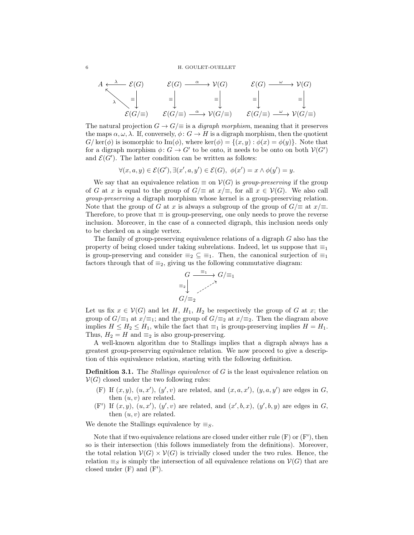$$
A \xleftarrow{\lambda} \mathcal{E}(G) \qquad \mathcal{E}(G) \longrightarrow \mathcal{V}(G) \qquad \mathcal{E}(G) \longrightarrow \mathcal{V}(G)
$$
  
\n
$$
\downarrow \qquad \qquad \equiv \qquad \qquad \equiv \qquad \qquad \equiv \qquad \qquad \equiv \qquad \qquad \equiv \qquad \qquad \equiv \qquad \qquad \equiv \qquad \qquad \equiv \qquad \qquad \equiv \qquad \qquad \equiv \qquad \qquad \equiv \qquad \qquad \equiv \qquad \qquad \equiv \qquad \qquad \equiv \qquad \qquad \equiv \qquad \qquad \equiv \qquad \qquad \equiv \qquad \qquad \equiv \qquad \qquad \equiv \qquad \qquad \equiv \qquad \qquad \equiv \qquad \qquad \equiv \qquad \qquad \equiv \qquad \qquad \equiv \qquad \qquad \equiv \qquad \qquad \equiv \qquad \qquad \equiv \qquad \qquad \equiv \qquad \qquad \equiv \qquad \qquad \equiv \qquad \qquad \equiv \qquad \qquad \equiv \qquad \qquad \equiv \qquad \qquad \equiv \qquad \qquad \equiv \qquad \qquad \equiv \qquad \qquad \equiv \qquad \qquad \equiv \qquad \qquad \equiv \qquad \qquad \equiv \qquad \qquad \equiv \qquad \qquad \equiv \qquad \qquad \equiv \qquad \qquad \equiv \qquad \qquad \equiv \qquad \qquad \equiv \qquad \qquad \equiv \qquad \qquad \equiv \qquad \qquad \equiv \qquad \qquad \equiv \qquad \qquad \equiv \qquad \qquad \equiv \qquad \qquad \equiv \qquad \qquad \equiv \qquad \qquad \equiv \qquad \qquad \equiv \qquad \qquad \equiv \qquad \qquad \equiv \qquad \qquad \equiv \qquad \qquad \equiv \qquad \qquad \equiv \qquad \qquad \equiv \qquad \qquad \equiv \qquad \qquad \equiv \qquad \qquad \equiv \qquad \qquad \equiv \qquad \qquad \equiv \qquad \qquad \equiv \qquad \qquad \equiv \qquad \qquad \equiv \qquad \qquad \equiv \qquad \qquad \equiv \qquad \qquad \equiv \qquad \qquad \equiv \qquad \qquad \equiv \qquad \qquad \equiv \qquad \qquad \equiv \qquad \qquad \equiv \qquad \qquad \equiv \qquad \qquad \equiv \qquad \qquad \equiv \qquad \qquad \equiv \qquad \qquad \equiv \qquad \qquad \equiv \qquad \qquad \equiv \qquad \equiv \qquad
$$

The natural projection  $G \to G/\equiv$  is a *digraph morphism*, meaning that it preserves the maps  $\alpha, \omega, \lambda$ . If, conversely,  $\phi: G \to H$  is a digraph morphism, then the quotient  $G/\text{ker}(\phi)$  is isomorphic to Im( $\phi$ ), where  $\text{ker}(\phi) = \{(x, y) : \phi(x) = \phi(y)\}\.$  Note that for a digraph morphism  $\phi: G \to G'$  to be onto, it needs to be onto on both  $V(G')$ and  $\mathcal{E}(G')$ . The latter condition can be written as follows:

$$
\forall (x, a, y) \in \mathcal{E}(G'), \exists (x', a, y') \in \mathcal{E}(G), \ \phi(x') = x \land \phi(y') = y.
$$

We say that an equivalence relation  $\equiv$  on  $V(G)$  is group-preserving if the group of G at x is equal to the group of  $G/\equiv$  at  $x/\equiv$ , for all  $x \in V(G)$ . We also call group-preserving a digraph morphism whose kernel is a group-preserving relation. Note that the group of G at x is always a subgroup of the group of  $G/\equiv$  at  $x/\equiv$ . Therefore, to prove that  $\equiv$  is group-preserving, one only needs to prove the reverse inclusion. Moreover, in the case of a connected digraph, this inclusion needs only to be checked on a single vertex.

The family of group-preserving equivalence relations of a digraph G also has the property of being closed under taking subrelations. Indeed, let us suppose that  $\equiv_1$ is group-preserving and consider  $\equiv_2 \subseteq \equiv_1$ . Then, the canonical surjection of  $\equiv_1$ factors through that of  $\equiv_2$ , giving us the following commutative diagram:



Let us fix  $x \in V(G)$  and let H,  $H_1$ ,  $H_2$  be respectively the group of G at x; the group of  $G/\equiv_1$  at  $x/\equiv_1$ ; and the group of  $G/\equiv_2$  at  $x/\equiv_2$ . Then the diagram above implies  $H \le H_2 \le H_1$ , while the fact that  $\equiv_1$  is group-preserving implies  $H = H_1$ . Thus,  $H_2 = H$  and  $\equiv_2$  is also group-preserving.

A well-known algorithm due to Stallings implies that a digraph always has a greatest group-preserving equivalence relation. We now proceed to give a description of this equivalence relation, starting with the following definition.

**Definition 3.1.** The *Stallings equivalence* of G is the least equivalence relation on  $V(G)$  closed under the two following rules:

- (F) If  $(x, y)$ ,  $(u, x')$ ,  $(y', v)$  are related, and  $(x, a, x')$ ,  $(y, a, y')$  are edges in G, then  $(u, v)$  are related.
- $(F')$  If  $(x, y)$ ,  $(u, x')$ ,  $(y', v)$  are related, and  $(x', b, x)$ ,  $(y', b, y)$  are edges in G, then  $(u, v)$  are related.

We denote the Stallings equivalence by  $\equiv_S$ .

Note that if two equivalence relations are closed under either rule  $(F)$  or  $(F')$ , then so is their intersection (this follows immediately from the definitions). Moreover, the total relation  $V(G) \times V(G)$  is trivially closed under the two rules. Hence, the relation  $\equiv_S$  is simply the intersection of all equivalence relations on  $\mathcal{V}(G)$  that are closed under (F) and (F').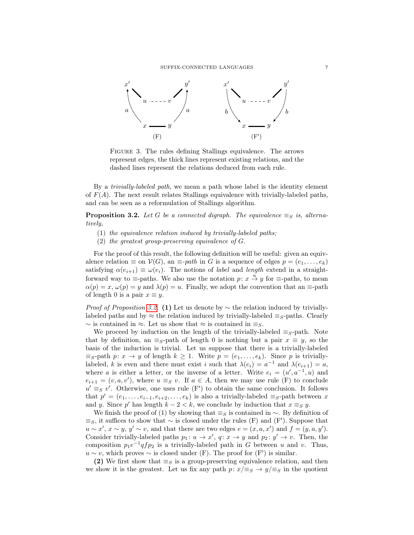

Figure 3. The rules defining Stallings equivalence. The arrows represent edges, the thick lines represent existing relations, and the dashed lines represent the relations deduced from each rule.

By a trivially-labeled path, we mean a path whose label is the identity element of  $F(A)$ . The next result relates Stallings equivalence with trivially-labeled paths, and can be seen as a reformulation of Stallings algorithm.

<span id="page-6-0"></span>**Proposition 3.2.** Let G be a connected digraph. The equivalence  $\equiv_S$  is, alternatively,

- $(1)$  the equivalence relation induced by trivially-labeled paths;
- (2) the greatest group-preserving equivalence of G.

For the proof of this result, the following definition will be useful: given an equivalence relation  $\equiv$  on  $\mathcal{V}(G)$ , an  $\equiv$ -path in G is a sequence of edges  $p = (e_1, \ldots, e_k)$ satisfying  $\alpha(e_{i+1}) \equiv \omega(e_i)$ . The notions of *label* and *length* extend in a straightforward way to  $\equiv$ -paths. We also use the notation  $p: x \stackrel{u}{\to} y$  for  $\equiv$ -paths, to mean  $\alpha(p) = x, \omega(p) = y$  and  $\lambda(p) = u$ . Finally, we adopt the convention that an  $\equiv$ -path of length 0 is a pair  $x \equiv y$ .

*Proof of Proposition [3.2.](#page-6-0)* (1) Let us denote by  $\sim$  the relation induced by triviallylabeled paths and by  $\approx$  the relation induced by trivially-labeled  $\equiv_S$ -paths. Clearly  $\sim$  is contained in  $\approx$ . Let us show that  $\approx$  is contained in  $\equiv_S$ .

We proceed by induction on the length of the trivially-labeled  $\equiv_S$ -path. Note that by definition, an  $\equiv_S$ -path of length 0 is nothing but a pair  $x \equiv y$ , so the basis of the induction is trivial. Let us suppose that there is a trivially-labeled  $\equiv_S$ -path  $p: x \to y$  of length  $k \geq 1$ . Write  $p = (e_1, \ldots, e_k)$ . Since p is triviallylabeled, k is even and there must exist i such that  $\lambda(e_i) = a^{-1}$  and  $\lambda(e_{i+1}) = a$ , where a is either a letter, or the inverse of a letter. Write  $e_i = (u', a^{-1}, u)$  and  $e_{i+1} = (v, a, v')$ , where  $u \equiv_S v$ . If  $a \in A$ , then we may use rule (F) to conclude  $u' \equiv_S v'$ . Otherwise, one uses rule (F') to obtain the same conclusion. It follows that  $p' = (e_1, \ldots, e_{i-1}, e_{i+2}, \ldots, e_k)$  is also a trivially-labeled  $\equiv_S$ -path between x and y. Since p' has length  $k - 2 < k$ , we conclude by induction that  $x \equiv_S y$ .

We finish the proof of (1) by showing that  $\equiv_S$  is contained in  $\sim$ . By definition of  $\equiv_S$ , it suffices to show that  $\sim$  is closed under the rules (F) and (F'). Suppose that  $u \sim x'$ ,  $x \sim y$ ,  $y' \sim v$ , and that there are two edges  $e = (x, a, x')$  and  $f = (y, a, y')$ . Consider trivially-labeled paths  $p_1: u \to x'$ ,  $q: x \to y$  and  $p_2: y' \to v$ . Then, the composition  $p_1e^{-1}qfp_2$  is a trivially-labeled path in G between u and v. Thus,  $u \sim v$ , which proves  $\sim$  is closed under (F). The proof for (F') is similar.

(2) We first show that  $\equiv_S$  is a group-preserving equivalence relation, and then we show it is the greatest. Let us fix any path  $p: x/\equiv_S \rightarrow y/\equiv_S$  in the quotient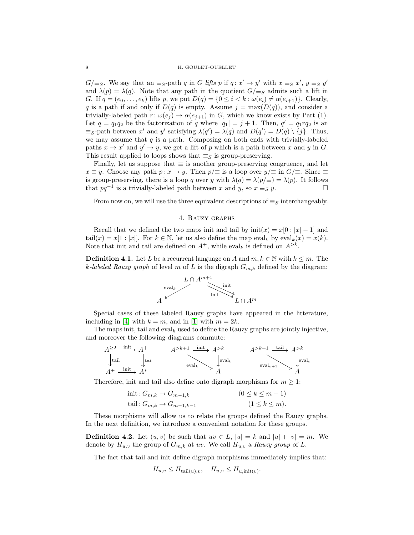$G/\equiv_S$ . We say that an  $\equiv_S$ -path q in G lifts p if  $q: x' \to y'$  with  $x \equiv_S x', y \equiv_S y'$ and  $\lambda(p) = \lambda(q)$ . Note that any path in the quotient  $G/\equiv_S$  admits such a lift in G. If  $q = (e_0, \ldots, e_k)$  lifts p, we put  $D(q) = \{0 \leq i < k : \omega(e_i) \neq \alpha(e_{i+1})\}$ . Clearly, q is a path if and only if  $D(q)$  is empty. Assume  $j = \max(D(q))$ , and consider a trivially-labeled path  $r: \omega(e_i) \to \alpha(e_{i+1})$  in G, which we know exists by Part (1). Let  $q = q_1 q_2$  be the factorization of q where  $|q_1| = j + 1$ . Then,  $q' = q_1 r q_2$  is an  $\equiv_S$ -path between x' and y' satisfying  $\lambda(q') = \lambda(q)$  and  $D(q') = D(q) \setminus \{j\}$ . Thus, we may assume that  $q$  is a path. Composing on both ends with trivially-labeled paths  $x \to x'$  and  $y' \to y$ , we get a lift of p which is a path between x and y in G. This result applied to loops shows that  $\equiv_S$  is group-preserving.

Finally, let us suppose that  $\equiv$  is another group-preserving congruence, and let  $x \equiv y$ . Choose any path  $p: x \to y$ . Then  $p/\equiv$  is a loop over  $y/\equiv$  in  $G/\equiv$ . Since  $\equiv$ is group-preserving, there is a loop q over y with  $\lambda(q) = \lambda(p/\equiv) = \lambda(p)$ . It follows that  $pq^{-1}$  is a trivially-labeled path between x and y, so  $x \equiv_S y$ .  $\Box$ 

From now on, we will use the three equivalent descriptions of  $\equiv_S$  interchangeably.

### 4. Rauzy graphs

<span id="page-7-0"></span>Recall that we defined the two maps init and tail by  $\text{init}(x) = x[0 : |x| - 1]$  and tail $(x) = x[1 : |x|]$ . For  $k \in \mathbb{N}$ , let us also define the map eval<sub>k</sub> by eval<sub>k</sub> $(x) = x(k)$ . Note that init and tail are defined on  $A^+$ , while eval<sub>k</sub> is defined on  $A^{>k}$ .

**Definition 4.1.** Let L be a recurrent language on A and  $m, k \in \mathbb{N}$  with  $k \leq m$ . The k-labeled Rauzy graph of level m of L is the digraph  $G_{m,k}$  defined by the diagram:



Special cases of these labeled Rauzy graphs have appeared in the litterature, including in [\[4\]](#page-23-0) with  $k = m$ , and in [\[1\]](#page-23-5) with  $m = 2k$ .

The maps init, tail and eval<sub>k</sub> used to define the Rauzy graphs are jointly injective, and moreover the following diagrams commute:

$$
A^{\geq 2} \xrightarrow{\text{init}} A^+
$$
  
\n
$$
A^{\geq k+1} \xrightarrow{\text{init}} A^{\geq k}
$$
  
\n
$$
A^{\geq k+1} \xrightarrow{\text{init}} A^{\geq k}
$$
  
\n
$$
A^{\geq k+1} \xrightarrow{\text{tail}} A^{\geq k}
$$
  
\n
$$
P^{\text{eval}_k}
$$
  
\n
$$
P^{\text{eval}_k}
$$
  
\n
$$
P^{\text{eval}_k}
$$
  
\n
$$
P^{\text{eval}_k}
$$

Therefore, init and tail also define onto digraph morphisms for  $m \geq 1$ :

$$
\text{init: } G_{m,k} \to G_{m-1,k} \tag{0 \le k \le m-1} \n\text{tail: } G_{m,k} \to G_{m-1,k-1} \tag{1 \le k \le m}.
$$

These morphisms will allow us to relate the groups defined the Rauzy graphs. In the next definition, we introduce a convenient notation for these groups.

**Definition 4.2.** Let  $(u, v)$  be such that  $uv \in L$ ,  $|u| = k$  and  $|u| + |v| = m$ . We denote by  $H_{u,v}$  the group of  $G_{m,k}$  at uv. We call  $H_{u,v}$  a Rauzy group of L.

The fact that tail and init define digraph morphisms immediately implies that:

$$
H_{u,v} \le H_{\text{tail}(u),v}, \quad H_{u,v} \le H_{u,\text{init}(v)}.
$$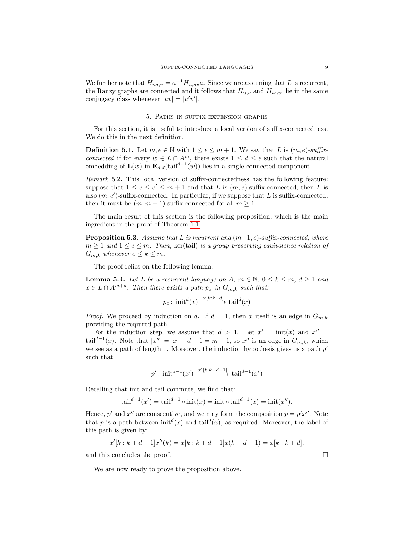We further note that  $H_{ua,v} = a^{-1}H_{u,av}a$ . Since we are assuming that L is recurrent, the Rauzy graphs are connected and it follows that  $H_{u,v}$  and  $H_{u',v'}$  lie in the same conjugacy class whenever  $|uv| = |u'v'|$ .

### 5. Paths in suffix extension graphs

<span id="page-8-0"></span>For this section, it is useful to introduce a local version of suffix-connectedness. We do this in the next definition.

**Definition 5.1.** Let  $m, e \in \mathbb{N}$  with  $1 \leq e \leq m+1$ . We say that L is  $(m, e)$ -suffixconnected if for every  $w \in L \cap A^m$ , there exists  $1 \leq d \leq e$  such that the natural embedding of  $\mathbf{L}(w)$  in  $\mathbf{E}_{d,d}(\text{tail}^{d-1}(w))$  lies in a single connected component.

<span id="page-8-3"></span>Remark 5.2. This local version of suffix-connectedness has the following feature: suppose that  $1 \le e \le e' \le m+1$  and that L is  $(m, e)$ -suffix-connected; then L is also  $(m, e')$ -suffix-connected. In particular, if we suppose that L is suffix-connected, then it must be  $(m, m + 1)$ -suffix-connected for all  $m \geq 1$ .

The main result of this section is the following proposition, which is the main ingredient in the proof of Theorem [1.1:](#page-0-0)

<span id="page-8-1"></span>**Proposition 5.3.** Assume that L is recurrent and  $(m-1, e)$ -suffix-connected, where  $m \geq 1$  and  $1 \leq e \leq m$ . Then, ker(tail) is a group-preserving equivalence relation of  $G_{m,k}$  whenever  $e \leq k \leq m$ .

The proof relies on the following lemma:

<span id="page-8-2"></span>**Lemma 5.4.** Let L be a recurrent language on A,  $m \in \mathbb{N}$ ,  $0 \leq k \leq m$ ,  $d \geq 1$  and  $x \in L \cap A^{m+d}$ . Then there exists a path  $p_x$  in  $G_{m,k}$  such that:

$$
p_x \colon \operatorname{init}^d(x) \xrightarrow{x[k:k+d]} \operatorname{tail}^d(x)
$$

*Proof.* We proceed by induction on d. If  $d = 1$ , then x itself is an edge in  $G_{m,k}$ providing the required path.

For the induction step, we assume that  $d > 1$ . Let  $x' = \text{init}(x)$  and  $x'' =$ tail<sup>d-1</sup>(x). Note that  $|x''| = |x| - d + 1 = m + 1$ , so x'' is an edge in  $G_{m,k}$ , which we see as a path of length 1. Moreover, the induction hypothesis gives us a path  $p'$ such that

$$
p' \colon \operatorname{init}^{d-1}(x') \xrightarrow{x'[k:k+d-1]} \operatorname{tail}^{d-1}(x')
$$

Recalling that init and tail commute, we find that:

$$
tail^{d-1}(x') = tail^{d-1} \circ init(x) = init \circ tail^{d-1}(x) = init(x'').
$$

Hence, p' and x'' are consecutive, and we may form the composition  $p = p'x''$ . Note that p is a path between  $init^d(x)$  and  $tail^d(x)$ , as required. Moreover, the label of this path is given by:

$$
x'[k:k+d-1]x''(k) = x[k:k+d-1]x(k+d-1) = x[k:k+d],
$$

and this concludes the proof.  $\Box$ 

We are now ready to prove the proposition above.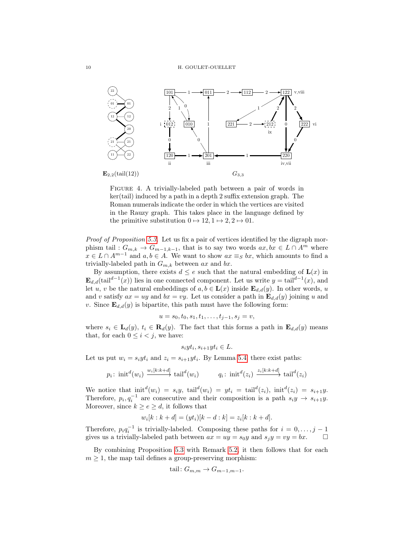

Figure 4. A trivially-labeled path between a pair of words in ker(tail) induced by a path in a depth 2 suffix extension graph. The Roman numerals indicate the order in which the vertices are visited in the Rauzy graph. This takes place in the language defined by the primitive substitution  $0 \mapsto 12, 1 \mapsto 2, 2 \mapsto 01$ .

Proof of Proposition [5.3.](#page-8-1) Let us fix a pair of vertices identified by the digraph morphism tail :  $G_{m,k} \to G_{m-1,k-1}$ , that is to say two words  $ax, bx \in L \cap A^m$  where  $x \in L \cap A^{m-1}$  and  $a, b \in A$ . We want to show  $ax \equiv_S bx$ , which amounts to find a trivially-labeled path in  $G_{m,k}$  between ax and bx.

By assumption, there exists  $d \leq e$  such that the natural embedding of  $\mathbf{L}(x)$  in  $\mathbf{E}_{d,d}(\text{tail}^{d-1}(x))$  lies in one connected component. Let us write  $y = \text{tail}^{d-1}(x)$ , and let u, v be the natural embeddings of  $a, b \in L(x)$  inside  $\mathbf{E}_{d,d}(y)$ . In other words, u and v satisfy  $ax = uy$  and  $bx = vy$ . Let us consider a path in  $\mathbf{E}_{d,d}(y)$  joining u and v. Since  $\mathbf{E}_{d,d}(y)$  is bipartite, this path must have the following form:

$$
u = s_0, t_0, s_1, t_1, \ldots, t_{j-1}, s_j = v,
$$

where  $s_i \in L_d(y)$ ,  $t_i \in R_d(y)$ . The fact that this forms a path in  $\mathbf{E}_{d,d}(y)$  means that, for each  $0 \leq i \leq j$ , we have:

$$
s_i y t_i, s_{i+1} y t_i \in L.
$$

Let us put  $w_i = s_i y t_i$  and  $z_i = s_{i+1} y t_i$ . By Lemma [5.4,](#page-8-2) there exist paths:

$$
p_i \colon \operatorname{init}^d(w_i) \xrightarrow{w_i[k:k+d]} \operatorname{tail}^d(w_i) \qquad \qquad q_i \colon \operatorname{init}^d(z_i) \xrightarrow{z_i[k:k+d]} \operatorname{tail}^d(z_i)
$$

We notice that  $init^d(w_i) = s_i y$ ,  $tail^d(w_i) = yt_i = tail^d(z_i)$ ,  $init^d(z_i) = s_{i+1} y$ . Therefore,  $p_i, q_i^{-1}$  are consecutive and their composition is a path  $s_i y \to s_{i+1} y$ . Moreover, since  $k \ge e \ge d$ , it follows that

$$
w_i[k : k + d] = (yt_i)[k - d : k] = z_i[k : k + d].
$$

Therefore,  $p_i q_i^{-1}$  is trivially-labeled. Composing these paths for  $i = 0, \ldots, j - 1$ gives us a trivially-labeled path between  $ax = uy = s_0y$  and  $s_jy = vy = bx$ .  $\Box$ 

By combining Proposition [5.3](#page-8-1) with Remark [5.2,](#page-8-3) it then follows that for each  $m \geq 1$ , the map tail defines a group-preserving morphism:

tail: 
$$
G_{m,m} \rightarrow G_{m-1,m-1}
$$
.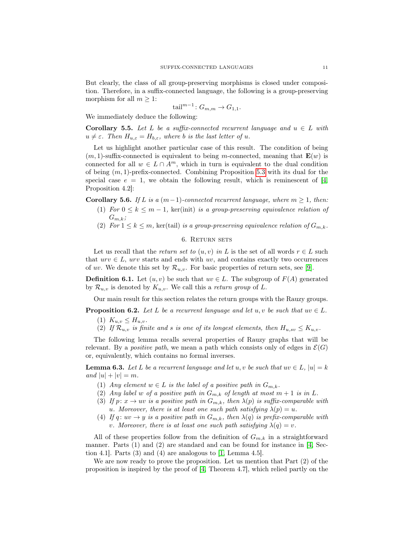But clearly, the class of all group-preserving morphisms is closed under composition. Therefore, in a suffix-connected language, the following is a group-preserving morphism for all  $m \geq 1$ :

$$
\text{tail}^{m-1} \colon G_{m,m} \to G_{1,1}.
$$

We immediately deduce the following:

<span id="page-10-3"></span>Corollary 5.5. Let L be a suffix-connected recurrent language and  $u \in L$  with  $u \neq \varepsilon$ . Then  $H_{u,\varepsilon} = H_{b,\varepsilon}$ , where b is the last letter of u.

Let us highlight another particular case of this result. The condition of being  $(m, 1)$ -suffix-connected is equivalent to being m-connected, meaning that  $\mathbf{E}(w)$  is connected for all  $w \in L \cap A^m$ , which in turn is equivalent to the dual condition of being  $(m, 1)$ -prefix-connected. Combining Proposition [5.3](#page-8-1) with its dual for the special case  $e = 1$ , we obtain the following result, which is reminescent of [\[4,](#page-23-0)] Proposition 4.2]:

<span id="page-10-4"></span>Corollary 5.6. If L is a  $(m-1)$ -connected recurrent language, where  $m \geq 1$ , then:

- (1) For  $0 \leq k \leq m-1$ , ker(init) is a group-preserving equivalence relation of  $G_{m,k};$
- (2) For  $1 \leq k \leq m$ , ker(tail) is a group-preserving equivalence relation of  $G_{m,k}$ .

## 6. Return sets

<span id="page-10-0"></span>Let us recall that the *return set to*  $(u, v)$  in L is the set of all words  $r \in L$  such that  $urv \in L$ , urv starts and ends with uv, and contains exactly two occurrences of uv. We denote this set by  $\mathcal{R}_{u,v}$ . For basic properties of return sets, see [\[9\]](#page-23-6).

**Definition 6.1.** Let  $(u, v)$  be such that  $uv \in L$ . The subgroup of  $F(A)$  generated by  $\mathcal{R}_{u,v}$  is denoted by  $K_{u,v}$ . We call this a return group of L.

Our main result for this section relates the return groups with the Rauzy groups.

<span id="page-10-1"></span>**Proposition 6.2.** Let L be a recurrent language and let u, v be such that  $uv \in L$ .

- (1)  $K_{u,v} \leq H_{u,v}$ .
- (2) If  $\mathcal{R}_{u,v}$  is finite and s is one of its longest elements, then  $H_{u,sv} \leq K_{u,v}$ .

The following lemma recalls several properties of Rauzy graphs that will be relevant. By a *positive path*, we mean a path which consists only of edges in  $\mathcal{E}(G)$ or, equivalently, which contains no formal inverses.

<span id="page-10-2"></span>**Lemma 6.3.** Let L be a recurrent language and let u, v be such that  $uv \in L$ ,  $|u| = k$ and  $|u| + |v| = m$ .

- (1) Any element  $w \in L$  is the label of a positive path in  $G_{m,k}$ .
- (2) Any label w of a positive path in  $G_{m,k}$  of length at most  $m+1$  is in L.
- (3) If  $p: x \to uv$  is a positive path in  $G_{m,k}$ , then  $\lambda(p)$  is suffix-comparable with u. Moreover, there is at least one such path satisfying  $\lambda(p) = u$ .
- (4) If q:  $uv \rightarrow y$  is a positive path in  $G_{m,k}$ , then  $\lambda(q)$  is prefix-comparable with v. Moreover, there is at least one such path satisfying  $\lambda(q) = v$ .

All of these properties follow from the definition of  $G_{m,k}$  in a straightforward manner. Parts (1) and (2) are standard and can be found for instance in [\[4,](#page-23-0) Section 4.1. Parts  $(3)$  and  $(4)$  are analogous to  $[1, \text{Lemma } 4.5].$  $[1, \text{Lemma } 4.5].$ 

We are now ready to prove the proposition. Let us mention that Part (2) of the proposition is inspired by the proof of [\[4,](#page-23-0) Theorem 4.7], which relied partly on the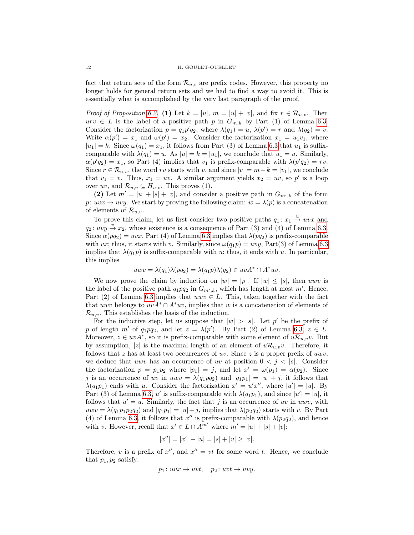fact that return sets of the form  $\mathcal{R}_{u,\varepsilon}$  are prefix codes. However, this property no longer holds for general return sets and we had to find a way to avoid it. This is essentially what is accomplished by the very last paragraph of the proof.

*Proof of Proposition [6.2.](#page-10-1)* (1) Let  $k = |u|, m = |u| + |v|$ , and fix  $r \in \mathcal{R}_{u,v}$ . Then urv ∈ L is the label of a positive path p in  $G_{m,k}$  by Part (1) of Lemma [6.3.](#page-10-2) Consider the factorization  $p = q_1 p' q_2$ , where  $\lambda(q_1) = u$ ,  $\lambda(p') = r$  and  $\lambda(q_2) = v$ . Write  $\alpha(p') = x_1$  and  $\omega(p') = x_2$ . Consider the factorization  $x_1 = u_1v_1$ , where  $|u_1| = k$ . Since  $\omega(q_1) = x_1$ , it follows from Part (3) of Lemma [6.3](#page-10-2) that  $u_1$  is suffixcomparable with  $\lambda(q_1) = u$ . As  $|u| = k = |u_1|$ , we conclude that  $u_1 = u$ . Similarly,  $\alpha(p'q_2) = x_1$ , so Part (4) implies that  $v_1$  is prefix-comparable with  $\lambda(p'q_2) = rv$ . Since  $r \in \mathcal{R}_{u,v}$ , the word rv starts with v, and since  $|v| = m - k = |v_1|$ , we conclude that  $v_1 = v$ . Thus,  $x_1 = uv$ . A similar argument yields  $x_2 = uv$ , so p' is a loop over  $uv$ , and  $\mathcal{R}_{u,v} \subseteq H_{u,v}$ . This proves (1).

(2) Let  $m' = |u| + |s| + |v|$ , and consider a positive path in  $G_{m',k}$  of the form p:  $uvx \to uvy$ . We start by proving the following claim:  $w = \lambda(p)$  is a concatenation of elements of  $\mathcal{R}_{u,v}$ .

To prove this claim, let us first consider two positive paths  $q_1: x_1 \stackrel{u}{\rightarrow} uvx$  and  $q_2: uvy \overset{v}{\rightarrow} x_2$ , whose existence is a consequence of Part (3) and (4) of Lemma [6.3.](#page-10-2) Since  $\alpha(pq_2) = uvx$ , Part (4) of Lemma [6.3](#page-10-2) implies that  $\lambda(pq_2)$  is prefix-comparable with vx; thus, it starts with v. Similarly, since  $\omega(q_1p) = uvy$ , Part(3) of Lemma [6.3](#page-10-2) implies that  $\lambda(q_1p)$  is suffix-comparable with u; thus, it ends with u. In particular, this implies

$$
uwv = \lambda(q_1)\lambda(pq_2) = \lambda(q_1p)\lambda(q_2) \in uvA^* \cap A^*uv.
$$

We now prove the claim by induction on  $|w| = |p|$ . If  $|w| \leq |s|$ , then uwv is the label of the positive path  $q_1pq_2$  in  $G_{m',k}$ , which has length at most m'. Hence, Part (2) of Lemma [6.3](#page-10-2) implies that  $uwv \in L$ . This, taken together with the fact that uwv belongs to  $uvA^* \cap A^*uv$ , implies that w is a concatenation of elements of  $\mathcal{R}_{u,v}$ . This establishes the basis of the induction.

For the inductive step, let us suppose that  $|w| > |s|$ . Let p' be the prefix of p of length m' of  $q_1pq_2$ , and let  $z = \lambda(p')$ . By Part (2) of Lemma [6.3,](#page-10-2)  $z \in L$ . Moreover,  $z \in uvA^*$ , so it is prefix-comparable with some element of  $uR_{u,v}v$ . But by assumption, |z| is the maximal length of an element of  $u\mathcal{R}_{u,v}v$ . Therefore, it follows that z has at least two occurrences of uv. Since z is a proper prefix of uwv, we deduce that uwv has an occurrence of uv at position  $0 < i < |s|$ . Consider the factorization  $p = p_1 p_2$  where  $|p_1| = j$ , and let  $x' = \omega(p_1) = \alpha(p_2)$ . Since j is an occurrence of uv in  $uvw = \lambda(q_1pq_2)$  and  $|q_1p_1| = |u| + j$ , it follows that  $\lambda(q_1p_1)$  ends with u. Consider the factorization  $x' = u'x''$ , where  $|u'| = |u|$ . By Part (3) of Lemma [6.3,](#page-10-2) u' is suffix-comparable with  $\lambda(q_1p_1)$ , and since  $|u'| = |u|$ , it follows that  $u' = u$ . Similarly, the fact that j is an occurrence of uv in uwv, with  $uwv = \lambda(q_1p_1p_2q_2)$  and  $|q_1p_1| = |u| + j$ , implies that  $\lambda(p_2q_2)$  starts with v. By Part (4) of Lemma [6.3,](#page-10-2) it follows that  $x''$  is prefix-comparable with  $\lambda(p_2q_2)$ , and hence with v. However, recall that  $x' \in L \cap A^{m'}$  where  $m' = |u| + |s| + |v|$ :

$$
|x''| = |x'| - |u| = |s| + |v| \ge |v|.
$$

Therefore, v is a prefix of  $x''$ , and  $x'' = vt$  for some word t. Hence, we conclude that  $p_1, p_2$  satisfy:

$$
p_1: uvx \to uvt, \quad p_2: uvt \to uvy.
$$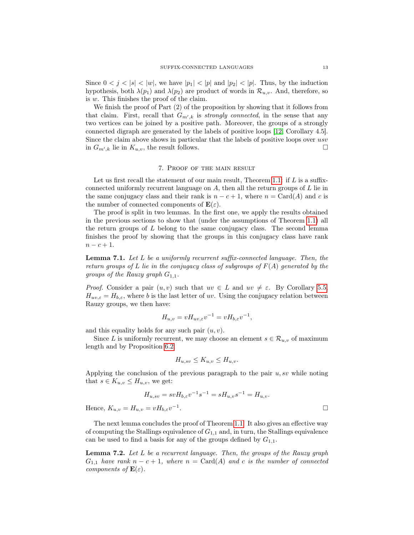Since  $0 < j < |s| < |w|$ , we have  $|p_1| < |p|$  and  $|p_2| < |p|$ . Thus, by the induction hypothesis, both  $\lambda(p_1)$  and  $\lambda(p_2)$  are product of words in  $\mathcal{R}_{u,v}$ . And, therefore, so is w. This finishes the proof of the claim.

We finish the proof of Part (2) of the proposition by showing that it follows from that claim. First, recall that  $G_{m',k}$  is *strongly connected*, in the sense that any two vertices can be joined by a positive path. Moreover, the groups of a strongly connected digraph are generated by the labels of positive loops [\[12,](#page-23-7) Corollary 4.5]. Since the claim above shows in particular that the labels of positive loops over usv in  $G_{m',k}$  lie in  $K_{u,v}$ , the result follows.

# 7. Proof of the main result

<span id="page-12-0"></span>Let us first recall the statement of our main result, Theorem [1.1:](#page-0-0) if  $L$  is a suffixconnected uniformly recurrent language on  $A$ , then all the return groups of  $L$  lie in the same conjugacy class and their rank is  $n - c + 1$ , where  $n = \text{Card}(A)$  and c is the number of connected components of  $\mathbf{E}(\varepsilon)$ .

The proof is split in two lemmas. In the first one, we apply the results obtained in the previous sections to show that (under the assumptions of Theorem [1.1\)](#page-0-0) all the return groups of  $L$  belong to the same conjugacy class. The second lemma finishes the proof by showing that the groups in this conjugacy class have rank  $n - c + 1.$ 

<span id="page-12-2"></span>**Lemma 7.1.** Let L be a uniformly recurrent suffix-connected language. Then, the return groups of L lie in the conjugacy class of subgroups of  $F(A)$  generated by the groups of the Rauzy graph  $G_{1,1}$ .

*Proof.* Consider a pair  $(u, v)$  such that  $uv \in L$  and  $uv \neq \varepsilon$ . By Corollary [5.5,](#page-10-3)  $H_{uv,\varepsilon} = H_{b,\varepsilon}$ , where b is the last letter of uv. Using the conjugacy relation between Rauzy groups, we then have:

$$
H_{u,v} = vH_{uv,\varepsilon}v^{-1} = vH_{b,\varepsilon}v^{-1},
$$

and this equality holds for any such pair  $(u, v)$ .

Since L is uniformly recurrent, we may choose an element  $s \in \mathcal{R}_{u,v}$  of maximum length and by Proposition [6.2:](#page-10-1)

$$
H_{u,sv} \le K_{u,v} \le H_{u,v}.
$$

Applying the conclusion of the previous paragraph to the pair  $u, sv$  while noting that  $s \in K_{u,v} \leq H_{u,v}$ , we get:

$$
H_{u,sv} = svH_{b,\varepsilon}v^{-1}s^{-1} = sH_{u,v}s^{-1} = H_{u,v}.
$$
  

$$
u = vH_{b,\varepsilon}v^{-1}.
$$

Hence,  $K_{u,v} = H_{u,v} = vH_{b,\varepsilon}v^{-1}$ 

The next lemma concludes the proof of Theorem [1.1.](#page-0-0) It also gives an effective way of computing the Stallings equivalence of  $G_{1,1}$  and, in turn, the Stallings equivalence can be used to find a basis for any of the groups defined by  $G_{1,1}$ .

<span id="page-12-1"></span>Lemma 7.2. Let L be a recurrent language. Then, the groups of the Rauzy graph  $G_{1,1}$  have rank  $n - c + 1$ , where  $n = \text{Card}(A)$  and c is the number of connected components of  $\mathbf{E}(\varepsilon)$ .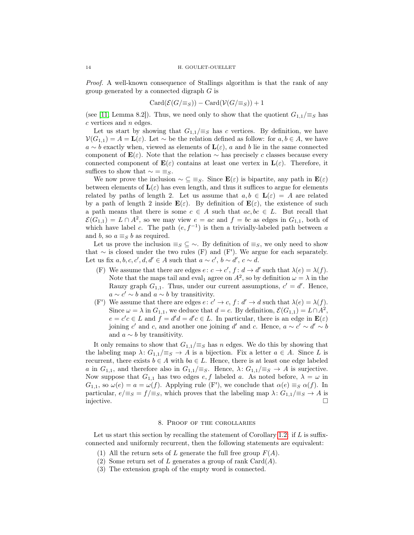Proof. A well-known consequence of Stallings algorithm is that the rank of any group generated by a connected digraph G is

$$
Card(\mathcal{E}(G/\equiv_S)) - Card(\mathcal{V}(G/\equiv_S)) + 1
$$

(see [\[11,](#page-23-8) Lemma 8.2]). Thus, we need only to show that the quotient  $G_{1,1}/\equiv_S$  has  $c$  vertices and  $n$  edges.

Let us start by showing that  $G_{1,1}/\equiv_S$  has c vertices. By definition, we have  $\mathcal{V}(G_{1,1}) = A = \mathbf{L}(\varepsilon)$ . Let  $\sim$  be the relation defined as follow: for  $a, b \in A$ , we have  $a \sim b$  exactly when, viewed as elements of  $\mathbf{L}(\varepsilon)$ , a and b lie in the same connected component of  $\mathbf{E}(\varepsilon)$ . Note that the relation ~ has precisely c classes because every connected component of  $\mathbf{E}(\varepsilon)$  contains at least one vertex in  $\mathbf{L}(\varepsilon)$ . Therefore, it suffices to show that  $\sim = \equiv_S$ .

We now prove the inclusion  $\sim \subseteq \equiv_S$ . Since  $\mathbf{E}(\varepsilon)$  is bipartite, any path in  $\mathbf{E}(\varepsilon)$ between elements of  $\mathbf{L}(\varepsilon)$  has even length, and thus it suffices to argue for elements related by paths of length 2. Let us assume that  $a, b \in L(\varepsilon) = A$  are related by a path of length 2 inside  $\mathbf{E}(\varepsilon)$ . By definition of  $\mathbf{E}(\varepsilon)$ , the existence of such a path means that there is some  $c \in A$  such that  $ac, bc \in L$ . But recall that  $\mathcal{E}(G_{1,1}) = L \cap A^2$ , so we may view  $e = ac$  and  $f = bc$  as edges in  $G_{1,1}$ , both of which have label c. The path  $(e, f^{-1})$  is then a trivially-labeled path between a and b, so  $a \equiv_S b$  as required.

Let us prove the inclusion  $\equiv_S \subseteq \sim$ . By definition of  $\equiv_S$ , we only need to show that  $\sim$  is closed under the two rules (F) and (F'). We argue for each separately. Let us fix  $a, b, c, c', d, d' \in A$  such that  $a \sim c', b \sim d', c \sim d$ .

- (F) We assume that there are edges  $e: c \to c'$ ,  $f: d \to d'$  such that  $\lambda(e) = \lambda(f)$ . Note that the maps tail and eval<sub>1</sub> agree on  $A^2$ , so by definition  $\omega = \lambda$  in the Rauzy graph  $G_{1,1}$ . Thus, under our current assumptions,  $c' = d'$ . Hence,  $a \sim c' \sim b$  and  $a \sim b$  by transitivity.
- (F') We assume that there are edges  $e: c' \to c$ ,  $f: d' \to d$  such that  $\lambda(e) = \lambda(f)$ . Since  $\omega = \lambda$  in  $G_{1,1}$ , we deduce that  $d = c$ . By definition,  $\mathcal{E}(G_{1,1}) = L \cap A^2$ ,  $e = c'c \in L$  and  $f = d'd = d'c \in L$ . In particular, there is an edge in  $\mathbf{E}(\varepsilon)$ joining c' and c, and another one joining d' and c. Hence,  $a \sim c' \sim d' \sim b$ and  $a \sim b$  by transitivity.

It only remains to show that  $G_{1,1}/\equiv_S$  has n edges. We do this by showing that the labeling map  $\lambda: G_{1,1}/\equiv_S \rightarrow A$  is a bijection. Fix a letter  $a \in A$ . Since L is recurrent, there exists  $b \in A$  with  $ba \in L$ . Hence, there is at least one edge labeled a in  $G_{1,1}$ , and therefore also in  $G_{1,1}/\equiv_S$ . Hence,  $\lambda: G_{1,1}/\equiv_S \rightarrow A$  is surjective. Now suppose that  $G_{1,1}$  has two edges  $e, f$  labeled a. As noted before,  $\lambda = \omega$  in  $G_{1,1}$ , so  $\omega(e) = a = \omega(f)$ . Applying rule (F'), we conclude that  $\alpha(e) \equiv_S \alpha(f)$ . In particular,  $e/\equiv_S = f/\equiv_S$ , which proves that the labeling map  $\lambda: G_{1,1}/\equiv_S \to A$  is injective.  $\Box$ 

# 8. Proof of the corollaries

<span id="page-13-0"></span>Let us start this section by recalling the statement of Corollary [1.2:](#page-1-0) if  $L$  is suffixconnected and uniformly recurrent, then the following statements are equivalent:

- (1) All the return sets of L generate the full free group  $F(A)$ .
- (2) Some return set of L generates a group of rank  $Card(A)$ .
- (3) The extension graph of the empty word is connected.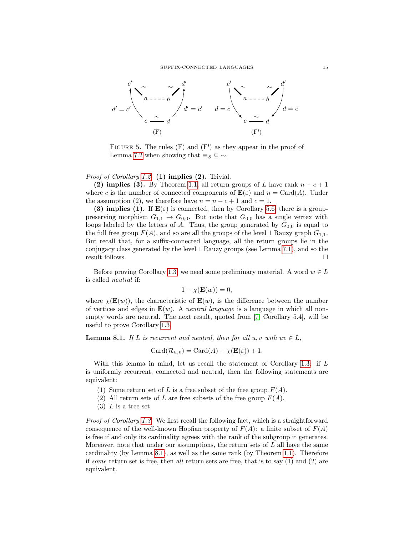

FIGURE 5. The rules  $(F)$  and  $(F')$  as they appear in the proof of Lemma [7.2](#page-12-1) when showing that  $\equiv_S \subseteq \sim$ .

## Proof of Corollary [1.2.](#page-1-0) (1) implies (2). Trivial.

(2) implies (3). By Theorem [1.1,](#page-0-0) all return groups of L have rank  $n - c + 1$ where c is the number of connected components of  $\mathbf{E}(\varepsilon)$  and  $n = \text{Card}(A)$ . Under the assumption (2), we therefore have  $n = n - c + 1$  and  $c = 1$ .

(3) implies (1). If  $\mathbf{E}(\varepsilon)$  is connected, then by Corollary [5.6,](#page-10-4) there is a grouppreserving morphism  $G_{1,1} \rightarrow G_{0,0}$ . But note that  $G_{0,0}$  has a single vertex with loops labeled by the letters of A. Thus, the group generated by  $G_{0,0}$  is equal to the full free group  $F(A)$ , and so are all the groups of the level 1 Rauzy graph  $G_{1,1}$ . But recall that, for a suffix-connected language, all the return groups lie in the conjugacy class generated by the level 1 Rauzy groups (see Lemma [7.1\)](#page-12-2), and so the result follows.  $\Box$ 

Before proving Corollary [1.3,](#page-1-1) we need some preliminary material. A word  $w \in L$ is called neutral if:

$$
1 - \chi(\mathbf{E}(w)) = 0,
$$

where  $\chi(\mathbf{E}(w))$ , the characteristic of  $\mathbf{E}(w)$ , is the difference between the number of vertices and edges in  $\mathbf{E}(w)$ . A *neutral language* is a language in which all nonempty words are neutral. The next result, quoted from [\[7,](#page-23-2) Corollary 5.4], will be useful to prove Corollary [1.3.](#page-1-1)

<span id="page-14-0"></span>**Lemma 8.1.** If L is recurrent and neutral, then for all  $u, v$  with  $uv \in L$ ,

$$
Card(\mathcal{R}_{u,v}) = Card(A) - \chi(\mathbf{E}(\varepsilon)) + 1.
$$

With this lemma in mind, let us recall the statement of Corollary [1.3:](#page-1-1) if L is uniformly recurrent, connected and neutral, then the following statements are equivalent:

- (1) Some return set of L is a free subset of the free group  $F(A)$ .
- (2) All return sets of L are free subsets of the free group  $F(A)$ .
- $(3)$  L is a tree set.

Proof of Corollary [1.3.](#page-1-1) We first recall the following fact, which is a straightforward consequence of the well-known Hopfian property of  $F(A)$ : a finite subset of  $F(A)$ is free if and only its cardinality agrees with the rank of the subgroup it generates. Moreover, note that under our assumptions, the return sets of  $L$  all have the same cardinality (by Lemma [8.1\)](#page-14-0), as well as the same rank (by Theorem [1.1\)](#page-0-0). Therefore if some return set is free, then all return sets are free, that is to say  $(1)$  and  $(2)$  are equivalent.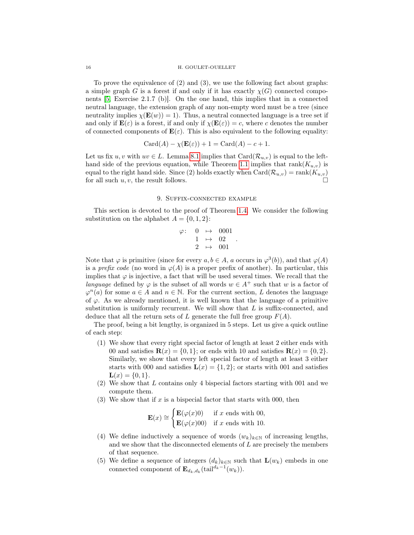To prove the equivalence of (2) and (3), we use the following fact about graphs: a simple graph G is a forest if and only if it has exactly  $\chi(G)$  connected components [\[5,](#page-23-9) Exercise 2.1.7 (b)]. On the one hand, this implies that in a connected neutral language, the extension graph of any non-empty word must be a tree (since neutrality implies  $\chi(\mathbf{E}(w)) = 1$ . Thus, a neutral connected language is a tree set if and only if  $\mathbf{E}(\varepsilon)$  is a forest, if and only if  $\chi(\mathbf{E}(\varepsilon)) = c$ , where c denotes the number of connected components of  $\mathbf{E}(\varepsilon)$ . This is also equivalent to the following equality:

$$
Card(A) - \chi(\mathbf{E}(\varepsilon)) + 1 = Card(A) - c + 1.
$$

Let us fix  $u, v$  with  $uv \in L$ . Lemma [8.1](#page-14-0) implies that  $Card(\mathcal{R}_{u,v})$  is equal to the left-hand side of the previous equation, while Theorem [1.1](#page-0-0) implies that  $rank(K_{u,v})$  is equal to the right hand side. Since (2) holds exactly when  $Card(R_{u,v}) = rank(K_{u,v})$ for all such  $u, v$ , the result follows.

# 9. Suffix-connected example

<span id="page-15-0"></span>This section is devoted to the proof of Theorem [1.4.](#page-1-2) We consider the following substitution on the alphabet  $A = \{0, 1, 2\}$ :

$$
\begin{array}{cccc}\n\varphi\colon & 0 & \mapsto & 0001 \\
& 1 & \mapsto & 02 \\
& 2 & \mapsto & 001\n\end{array}.
$$

Note that  $\varphi$  is primitive (since for every  $a, b \in A$ , a occurs in  $\varphi^3(b)$ ), and that  $\varphi(A)$ is a prefix code (no word in  $\varphi(A)$ ) is a proper prefix of another). In particular, this implies that  $\varphi$  is injective, a fact that will be used several times. We recall that the language defined by  $\varphi$  is the subset of all words  $w \in A^+$  such that w is a factor of  $\varphi^{n}(a)$  for some  $a \in A$  and  $n \in \mathbb{N}$ . For the current section, L denotes the language of  $\varphi$ . As we already mentioned, it is well known that the language of a primitive substitution is uniformly recurrent. We will show that  $L$  is suffix-connected, and deduce that all the return sets of L generate the full free group  $F(A)$ .

The proof, being a bit lengthy, is organized in 5 steps. Let us give a quick outline of each step:

- <span id="page-15-1"></span>(1) We show that every right special factor of length at least 2 either ends with 00 and satisfies  $\mathbf{R}(x) = \{0, 1\}$ ; or ends with 10 and satisfies  $\mathbf{R}(x) = \{0, 2\}$ . Similarly, we show that every left special factor of length at least 3 either starts with 000 and satisfies  $\mathbf{L}(x) = \{1, 2\}$ ; or starts with 001 and satisfies  $L(x) = \{0, 1\}.$
- <span id="page-15-2"></span>(2) We show that L contains only 4 bispecial factors starting with 001 and we compute them.
- <span id="page-15-3"></span>(3) We show that if x is a bispecial factor that starts with 000, then

$$
\mathbf{E}(x) \cong \begin{cases} \mathbf{E}(\varphi(x)0) & \text{if } x \text{ ends with } 00, \\ \mathbf{E}(\varphi(x)00) & \text{if } x \text{ ends with } 10. \end{cases}
$$

- <span id="page-15-4"></span>(4) We define inductively a sequence of words  $(w_k)_{k\in\mathbb{N}}$  of increasing lengths, and we show that the disconnected elements of  $L$  are precisely the members of that sequence.
- <span id="page-15-5"></span>(5) We define a sequence of integers  $(d_k)_{k\in\mathbb{N}}$  such that  $\mathbf{L}(w_k)$  embeds in one connected component of  $\mathbf{E}_{d_k, d_k}(\text{tail}^{d_k-1}(w_k)).$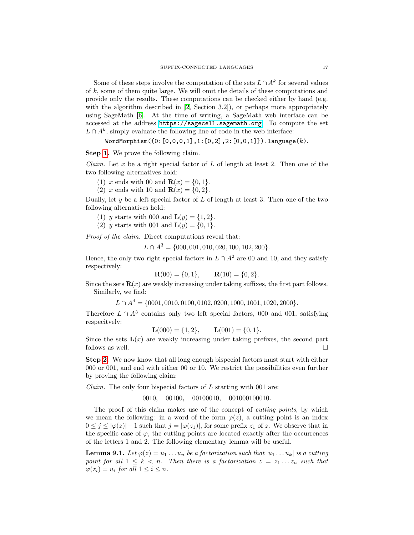Some of these steps involve the computation of the sets  $L \cap A^k$  for several values of  $k$ , some of them quite large. We will omit the details of these computations and provide only the results. These computations can be checked either by hand (e.g. with the algorithm described in [\[2,](#page-23-10) Section 3.2]), or perhaps more appropriately using SageMath [\[6\]](#page-23-11). At the time of writing, a SageMath web interface can be accessed at the address <https://sagecell.sagemath.org>. To compute the set  $L \cap A^k$ , simply evaluate the following line of code in the web interface:

 $WordMorphism({0:[0,0,0,1],1:[0,2],2:[0,0,1]}).language(k).$ 

Step [1.](#page-15-1) We prove the following claim.

*Claim.* Let x be a right special factor of L of length at least 2. Then one of the two following alternatives hold:

(1) x ends with 00 and  $\mathbf{R}(x) = \{0, 1\}.$ 

(2) x ends with 10 and  $R(x) = \{0, 2\}.$ 

Dually, let  $y$  be a left special factor of  $L$  of length at least 3. Then one of the two following alternatives hold:

(1) y starts with 000 and  $L(y) = \{1, 2\}.$ 

(2) y starts with 001 and  $L(y) = \{0, 1\}.$ 

Proof of the claim. Direct computations reveal that:

 $L \cap A^3 = \{000, 001, 010, 020, 100, 102, 200\}.$ 

Hence, the only two right special factors in  $L \cap A^2$  are 00 and 10, and they satisfy respectively:

$$
\mathbf{R}(00) = \{0, 1\}, \qquad \mathbf{R}(10) = \{0, 2\}.
$$

Since the sets  $\mathbf{R}(x)$  are weakly increasing under taking suffixes, the first part follows. Similarly, we find:

 $L \cap A<sup>4</sup> = \{0001, 0010, 0100, 0102, 0200, 1000, 1001, 1020, 2000\}.$ 

Therefore  $L \cap A^3$  contains only two left special factors, 000 and 001, satisfying respecitvely:

$$
\mathbf{L}(000) = \{1, 2\}, \qquad \mathbf{L}(001) = \{0, 1\}.
$$

Since the sets  $\mathbf{L}(x)$  are weakly increasing under taking prefixes, the second part follows as well.

Step [2.](#page-15-2) We now know that all long enough bispecial factors must start with either 000 or 001, and end with either 00 or 10. We restrict the possibilities even further by proving the following claim:

*Claim.* The only four bispecial factors of  $L$  starting with 001 are:

# 0010, 00100, 00100010, 001000100010.

The proof of this claim makes use of the concept of cutting points, by which we mean the following: in a word of the form  $\varphi(z)$ , a cutting point is an index  $0 \leq j \leq |\varphi(z)| - 1$  such that  $j = |\varphi(z_1)|$ , for some prefix  $z_1$  of z. We observe that in the specific case of  $\varphi$ , the cutting points are located exactly after the occurrences of the letters 1 and 2. The following elementary lemma will be useful.

<span id="page-16-0"></span>**Lemma 9.1.** Let  $\varphi(z) = u_1 \dots u_n$  be a factorization such that  $|u_1 \dots u_k|$  is a cutting point for all  $1 \leq k < n$ . Then there is a factorization  $z = z_1 \ldots z_n$  such that  $\varphi(z_i) = u_i$  for all  $1 \leq i \leq n$ .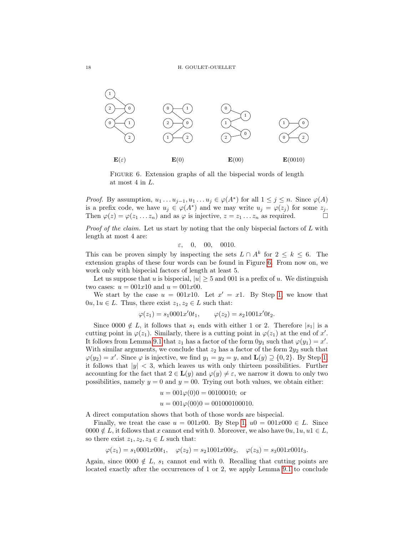

<span id="page-17-0"></span>FIGURE 6. Extension graphs of all the bispecial words of length at most 4 in L.

*Proof.* By assumption,  $u_1 \dots u_{j-1}, u_1 \dots u_j \in \varphi(A^*)$  for all  $1 \leq j \leq n$ . Since  $\varphi(A)$ is a prefix code, we have  $u_j \in \varphi(A^*)$  and we may write  $u_j = \varphi(z_j)$  for some  $z_j$ . Then  $\varphi(z) = \varphi(z_1 \dots z_n)$  and as  $\varphi$  is injective,  $z = z_1 \dots z_n$  as required.

*Proof of the claim.* Let us start by noting that the only bispecial factors of  $L$  with length at most 4 are:

 $\varepsilon$ , 0, 00, 0010.

This can be proven simply by inspecting the sets  $L \cap A^k$  for  $2 \leq k \leq 6$ . The extension graphs of these four words can be found in Figure [6.](#page-17-0) From now on, we work only with bispecial factors of length at least 5.

Let us suppose that u is bispecial,  $|u| \geq 5$  and 001 is a prefix of u. We distinguish two cases:  $u = 001x10$  and  $u = 001x00$ .

We start by the case  $u = 001x10$ . Let  $x' = x1$ . By Step [1,](#page-15-1) we know that  $0u, 1u \in L$ . Thus, there exist  $z_1, z_2 \in L$  such that:

$$
\varphi(z_1) = s_1 0001 x' 0 t_1, \qquad \varphi(z_2) = s_2 1001 x' 0 t_2.
$$

Since 0000  $\notin L$ , it follows that  $s_1$  ends with either 1 or 2. Therefore  $|s_1|$  is a cutting point in  $\varphi(z_1)$ . Similarly, there is a cutting point in  $\varphi(z_1)$  at the end of x'. It follows from Lemma [9.1](#page-16-0) that  $z_1$  has a factor of the form  $0y_1$  such that  $\varphi(y_1) = x'$ . With similar arguments, we conclude that  $z_2$  has a factor of the form  $2y_2$  such that  $\varphi(y_2) = x'$ . Since  $\varphi$  is injective, we find  $y_1 = y_2 = y$ , and  $\mathbf{L}(y) \supseteq \{0, 2\}$ . By Step [1,](#page-15-1) it follows that  $|y| < 3$ , which leaves us with only thirteen possibilities. Further accounting for the fact that  $2 \in L(y)$  and  $\varphi(y) \neq \varepsilon$ , we narrow it down to only two possibilities, namely  $y = 0$  and  $y = 00$ . Trying out both values, we obtain either:

$$
u = 001\varphi(0)0 = 00100010
$$
; or  
\n $u = 001\varphi(00)0 = 001000100010$ .

A direct computation shows that both of those words are bispecial.

Finally, we treat the case  $u = 001x00$ . By Step [1,](#page-15-1)  $u0 = 001x000 \in L$ . Since 0000  $\notin L$ , it follows that x cannot end with 0. Moreover, we also have  $0u, 1u, u1 \in L$ , so there exist  $z_1, z_2, z_3 \in L$  such that:

$$
\varphi(z_1) = s_1 0001 x 00 t_1, \quad \varphi(z_2) = s_2 1001 x 00 t_2, \quad \varphi(z_3) = s_3 001 x 001 t_3.
$$

Again, since 0000  $\notin L$ ,  $s_1$  cannot end with 0. Recalling that cutting points are located exactly after the occurrences of 1 or 2, we apply Lemma [9.1](#page-16-0) to conclude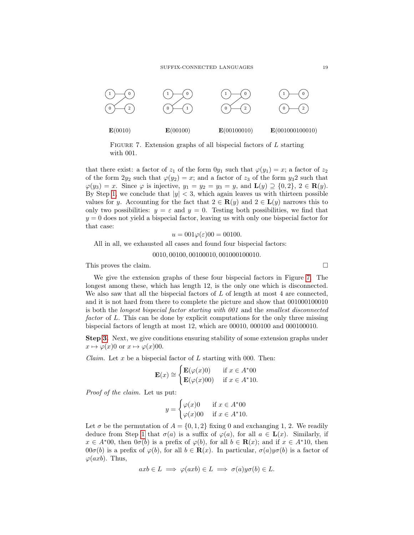

<span id="page-18-0"></span>FIGURE 7. Extension graphs of all bispecial factors of  $L$  starting with 001.

that there exist: a factor of  $z_1$  of the form  $0y_1$  such that  $\varphi(y_1) = x$ ; a factor of  $z_2$ of the form  $2y_2$  such that  $\varphi(y_2) = x$ ; and a factor of  $z_3$  of the form  $y_3$ ? such that  $\varphi(y_3) = x$ . Since  $\varphi$  is injective,  $y_1 = y_2 = y_3 = y$ , and  $\mathbf{L}(y) \supseteq \{0, 2\}$ ,  $2 \in \mathbf{R}(y)$ . By Step [1,](#page-15-1) we conclude that  $|y| < 3$ , which again leaves us with thirteen possible values for y. Accounting for the fact that  $2 \in \mathbf{R}(y)$  and  $2 \in \mathbf{L}(y)$  narrows this to only two possibilities:  $y = \varepsilon$  and  $y = 0$ . Testing both possibilities, we find that  $y = 0$  does not yield a bispecial factor, leaving us with only one bispecial factor for that case:

$$
u = 001\varphi(\varepsilon)00 = 00100.
$$

All in all, we exhausted all cases and found four bispecial factors:

### 0010, 00100, 00100010, 001000100010.

This proves the claim.

We give the extension graphs of these four bispecial factors in Figure [7.](#page-18-0) The longest among these, which has length 12, is the only one which is disconnected. We also saw that all the bispecial factors of  $L$  of length at most 4 are connected, and it is not hard from there to complete the picture and show that 001000100010 is both the longest bispecial factor starting with 001 and the smallest disconnected factor of L. This can be done by explicit computations for the only three missing bispecial factors of length at most 12, which are 00010, 000100 and 000100010.

Step [3.](#page-15-3) Next, we give conditions ensuring stability of some extension graphs under  $x \mapsto \varphi(x)0$  or  $x \mapsto \varphi(x)00$ .

*Claim.* Let x be a bispecial factor of L starting with 000. Then:

$$
\mathbf{E}(x) \cong \begin{cases} \mathbf{E}(\varphi(x)0) & \text{if } x \in A^*00\\ \mathbf{E}(\varphi(x)00) & \text{if } x \in A^*10. \end{cases}
$$

Proof of the claim. Let us put:

$$
y = \begin{cases} \varphi(x)0 & \text{if } x \in A^*00\\ \varphi(x)00 & \text{if } x \in A^*10. \end{cases}
$$

Let  $\sigma$  be the permutation of  $A = \{0, 1, 2\}$  fixing 0 and exchanging 1, 2. We readily deduce from Step [1](#page-15-1) that  $\sigma(a)$  is a suffix of  $\varphi(a)$ , for all  $a \in L(x)$ . Similarly, if  $x \in A^*00$ , then  $0\sigma(b)$  is a prefix of  $\varphi(b)$ , for all  $b \in \mathbf{R}(x)$ ; and if  $x \in A^*10$ , then  $00\sigma(b)$  is a prefix of  $\varphi(b)$ , for all  $b \in \mathbf{R}(x)$ . In particular,  $\sigma(a)y\sigma(b)$  is a factor of  $\varphi(axb)$ . Thus,

$$
axb \in L \implies \varphi(axb) \in L \implies \sigma(a)y\sigma(b) \in L.
$$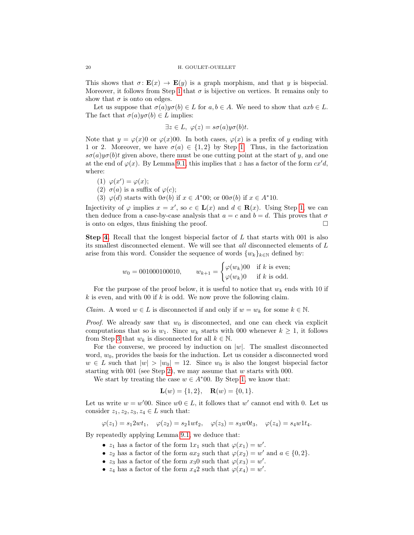This shows that  $\sigma: \mathbf{E}(x) \to \mathbf{E}(y)$  is a graph morphism, and that y is bispecial. Moreover, it follows from Step [1](#page-15-1) that  $\sigma$  is bijective on vertices. It remains only to show that  $\sigma$  is onto on edges.

Let us suppose that  $\sigma(a)y\sigma(b) \in L$  for  $a, b \in A$ . We need to show that  $axb \in L$ . The fact that  $\sigma(a)y\sigma(b) \in L$  implies:

$$
\exists z \in L, \ \varphi(z) = s\sigma(a)y\sigma(b)t.
$$

Note that  $y = \varphi(x)0$  or  $\varphi(x)00$ . In both cases,  $\varphi(x)$  is a prefix of y ending with 1 or 2. Moreover, we have  $\sigma(a) \in \{1,2\}$  by Step [1.](#page-15-1) Thus, in the factorization  $s\sigma(a)y\sigma(b)t$  given above, there must be one cutting point at the start of y, and one at the end of  $\varphi(x)$ . By Lemma [9.1,](#page-16-0) this implies that z has a factor of the form  $cx'd$ , where:

- (1)  $\varphi(x') = \varphi(x);$
- (2)  $\sigma(a)$  is a suffix of  $\varphi(c)$ ;
- (3)  $\varphi(d)$  starts with  $0\sigma(b)$  if  $x \in A^*00$ ; or  $00\sigma(b)$  if  $x \in A^*10$ .

Injectivity of  $\varphi$  implies  $x = x'$ , so  $c \in L(x)$  and  $d \in \mathbf{R}(x)$ . Using Step [1,](#page-15-1) we can then deduce from a case-by-case analysis that  $a = c$  and  $b = d$ . This proves that  $\sigma$ is onto on edges, thus finishing the proof.  $\Box$ 

**Step [4.](#page-15-4)** Recall that the longest bispecial factor of  $L$  that starts with 001 is also its smallest disconnected element. We will see that all disconnected elements of L arise from this word. Consider the sequence of words  $\{w_k\}_{k\in\mathbb{N}}$  defined by:

$$
w_0 = 001000100010
$$
,  $w_{k+1} = \begin{cases} \varphi(w_k)00 & \text{if } k \text{ is even;} \\ \varphi(w_k)0 & \text{if } k \text{ is odd.} \end{cases}$ 

For the purpose of the proof below, it is useful to notice that  $w_k$  ends with 10 if k is even, and with 00 if k is odd. We now prove the following claim.

*Claim.* A word  $w \in L$  is disconnected if and only if  $w = w_k$  for some  $k \in \mathbb{N}$ .

*Proof.* We already saw that  $w_0$  is disconnected, and one can check via explicit computations that so is  $w_1$ . Since  $w_k$  starts with 000 whenever  $k \geq 1$ , it follows from Step [3](#page-15-3) that  $w_k$  is disconnected for all  $k \in \mathbb{N}$ .

For the converse, we proceed by induction on  $|w|$ . The smallest disconnected word,  $w_0$ , provides the basis for the induction. Let us consider a disconnected word  $w \in L$  such that  $|w| > |w_0| = 12$ . Since  $w_0$  is also the longest bispecial factor starting with 001 (see Step [2\)](#page-15-2), we may assume that  $w$  starts with 000.

We start by treating the case  $w \in A^*00$ . By Step [1,](#page-15-1) we know that:

$$
\mathbf{L}(w) = \{1, 2\}, \quad \mathbf{R}(w) = \{0, 1\}.
$$

Let us write  $w = w'00$ . Since  $w0 \in L$ , it follows that  $w'$  cannot end with 0. Let us consider  $z_1, z_2, z_3, z_4 \in L$  such that:

$$
\varphi(z_1) = s_1 2wt_1, \quad \varphi(z_2) = s_2 1wt_2, \quad \varphi(z_3) = s_3 w 0t_3, \quad \varphi(z_4) = s_4 w 1t_4.
$$

By repeatedly applying Lemma [9.1,](#page-16-0) we deduce that:

- $z_1$  has a factor of the form  $1x_1$  such that  $\varphi(x_1) = w'$ .
- $z_2$  has a factor of the form  $ax_2$  such that  $\varphi(x_2) = w'$  and  $a \in \{0, 2\}.$
- $z_3$  has a factor of the form  $x_3$ 0 such that  $\varphi(x_3) = w'$ .
- $z_4$  has a factor of the form  $x_42$  such that  $\varphi(x_4) = w'$ .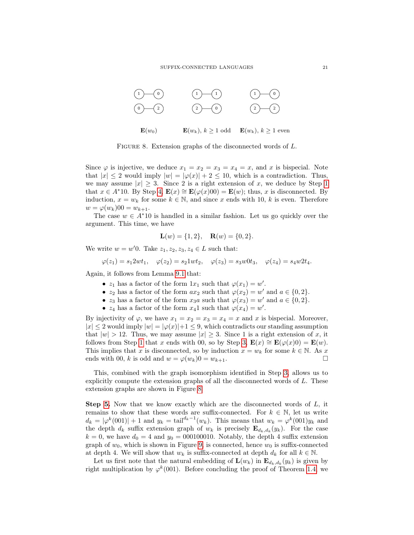

<span id="page-20-0"></span>FIGURE 8. Extension graphs of the disconnected words of L.

Since  $\varphi$  is injective, we deduce  $x_1 = x_2 = x_3 = x_4 = x$ , and x is bispecial. Note that  $|x| \leq 2$  would imply  $|w| = |\varphi(x)| + 2 \leq 10$ , which is a contradiction. Thus, we may assume  $|x| \geq 3$ . Since 2 is a right extension of x, we deduce by Step [1](#page-15-1) that  $x \in A^*10$ . By Step [4,](#page-15-4)  $\mathbf{E}(x) \cong \mathbf{E}(\varphi(x)00) = \mathbf{E}(w)$ ; thus, x is disconnected. By induction,  $x = w_k$  for some  $k \in \mathbb{N}$ , and since x ends with 10, k is even. Therefore  $w = \varphi(w_k)00 = w_{k+1}.$ 

The case  $w \in A^*10$  is handled in a similar fashion. Let us go quickly over the argument. This time, we have

$$
\mathbf{L}(w) = \{1, 2\}, \quad \mathbf{R}(w) = \{0, 2\}.
$$

We write  $w = w'0$ . Take  $z_1, z_2, z_3, z_4 \in L$  such that:

$$
\varphi(z_1) = s_1 2wt_1, \quad \varphi(z_2) = s_2 1wt_2, \quad \varphi(z_3) = s_3 w 0t_3, \quad \varphi(z_4) = s_4 w 2t_4.
$$

Again, it follows from Lemma [9.1](#page-16-0) that:

- $z_1$  has a factor of the form  $1x_1$  such that  $\varphi(x_1) = w'$ .
- $z_2$  has a factor of the form  $ax_2$  such that  $\varphi(x_2) = w'$  and  $a \in \{0, 2\}.$
- $z_3$  has a factor of the form  $x_3a$  such that  $\varphi(x_3) = w'$  and  $a \in \{0, 2\}.$
- $z_4$  has a factor of the form  $x_4$ 1 such that  $\varphi(x_4) = w'$ .

By injectivity of  $\varphi$ , we have  $x_1 = x_2 = x_3 = x_4 = x$  and x is bispecial. Moreover,  $|x| \leq 2$  would imply  $|w| = |\varphi(x)| + 1 \leq 9$ , which contradicts our standing assumption that  $|w| > 12$ . Thus, we may assume  $|x| \geq 3$ . Since 1 is a right extension of x, it follows from Step [1](#page-15-1) that x ends with 00, so by Step [3,](#page-15-3)  $\mathbf{E}(x) \cong \mathbf{E}(\varphi(x)0) = \mathbf{E}(w)$ . This implies that x is disconnected, so by induction  $x = w_k$  for some  $k \in \mathbb{N}$ . As x ends with 00, k is odd and  $w = \varphi(w_k)0 = w_{k+1}$ .

This, combined with the graph isomorphism identified in Step [3,](#page-15-3) allows us to explicitly compute the extension graphs of all the disconnected words of L. These extension graphs are shown in Figure [8.](#page-20-0)

**Step [5.](#page-15-5)** Now that we know exactly which are the disconnected words of  $L$ , it remains to show that these words are suffix-connected. For  $k \in \mathbb{N}$ , let us write  $d_k = |\varphi^k(001)| + 1$  and  $y_k = \text{tail}^{d_k - 1}(w_k)$ . This means that  $w_k = \varphi^k(001)y_k$  and the depth  $d_k$  suffix extension graph of  $w_k$  is precisely  $\mathbf{E}_{d_k,d_k}(y_k)$ . For the case  $k = 0$ , we have  $d_0 = 4$  and  $y_0 = 000100010$ . Notably, the depth 4 suffix extension graph of  $w_0$ , which is shown in Figure [9,](#page-21-0) is connected, hence  $w_0$  is suffix-connected at depth 4. We will show that  $w_k$  is suffix-connected at depth  $d_k$  for all  $k \in \mathbb{N}$ .

Let us first note that the natural embedding of  $\mathbf{L}(w_k)$  in  $\mathbf{E}_{d_k, d_k}(y_k)$  is given by right multiplication by  $\varphi^k(001)$ . Before concluding the proof of Theorem [1.4,](#page-1-2) we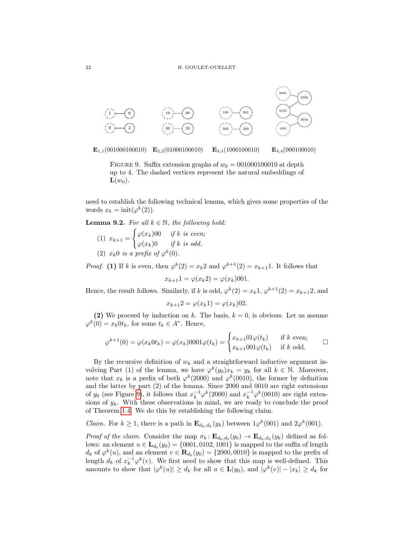

 $\mathbf{E}_{1,1}(001000100010) \quad \mathbf{E}_{2,2}(01000100010)$  $\mathbf{E}_{3,3}(1000100010)$  $E_{4,4}(000100010)$ 

<span id="page-21-0"></span>FIGURE 9. Suffix extension graphs of  $w_0 = 001000100010$  at depth up to 4. The dashed vertices represent the natural embeddings of  $\mathbf{L}(w_0)$ .

need to establish the following technical lemma, which gives some properties of the words  $x_k = \text{init}(\varphi^k(2)).$ 

**Lemma 9.2.** For all  $k \in \mathbb{N}$ , the following hold:

- $(1)$   $x_{k+1} =$  $\int \varphi(x_k)$ 00 if k is even;  $\varphi(x_k)0$  if k is odd.
- (2)  $x_k0$  is a prefix of  $\varphi^k$ (0).

*Proof.* (1) If k is even, then  $\varphi^k(2) = x_k 2$  and  $\varphi^{k+1}(2) = x_{k+1} 1$ . It follows that

$$
x_{k+1}1 = \varphi(x_k2) = \varphi(x_k)001.
$$

Hence, the result follows. Similarly, if k is odd,  $\varphi^k(2) = x_k 1$ ,  $\varphi^{k+1}(2) = x_{k+1} 2$ , and

$$
x_{k+1}2 = \varphi(x_k1) = \varphi(x_k)02.
$$

(2) We proceed by induction on k. The basis,  $k = 0$ , is obvious. Let us assume  $\varphi^k(0) = x_k 0 t_k$ , for some  $t_k \in A^*$ . Hence,

$$
\varphi^{k+1}(0) = \varphi(x_k 0 t_k) = \varphi(x_k) 0001 \varphi(t_k) = \begin{cases} x_{k+1} 01 \varphi(t_k) & \text{if } k \text{ even;} \\ x_{k+1} 001 \varphi(t_k) & \text{if } k \text{ odd.} \end{cases} \square
$$

By the recursive definition of  $w_k$  and a straightforward inductive argument involving Part (1) of the lemma, we have  $\varphi^k(y_0)x_k = y_k$  for all  $k \in \mathbb{N}$ . Moreover, note that  $x_k$  is a prefix of both  $\varphi^k(2000)$  and  $\varphi^k(0010)$ , the former by definition and the latter by part (2) of the lemma. Since 2000 and 0010 are right extensions of  $y_0$  (see Figure [9\)](#page-21-0), it follows that  $x_k^{-1} \varphi^k(2000)$  and  $x_k^{-1} \varphi^k(0010)$  are right extensions of  $y_k$ . With these observations in mind, we are ready to conclude the proof of Theorem [1.4.](#page-1-2) We do this by establishing the following claim.

*Claim.* For  $k \ge 1$ , there is a path in  $\mathbf{E}_{d_k, d_k}(y_k)$  between  $1\varphi^k(001)$  and  $2\varphi^k(001)$ .

Proof of the claim. Consider the map  $\sigma_k: \mathbf{E}_{d_0,d_0}(y_0) \to \mathbf{E}_{d_k,d_k}(y_k)$  defined as follows: an element  $u \in L_{d_0}(y_0) = \{0001, 0102, 1001\}$  is mapped to the suffix of length  $d_k$  of  $\varphi^k(u)$ , and an element  $v \in \mathbf{R}_{d_0}(y_0) = \{2000, 0010\}$  is mapped to the prefix of length  $d_k$  of  $x_k^{-1} \varphi^k(v)$ . We first need to show that this map is well-defined. This amounts to show that  $|\varphi^k(u)| \geq d_k$  for all  $u \in \mathbf{L}(y_0)$ , and  $|\varphi^k(v)| - |x_k| \geq d_k$  for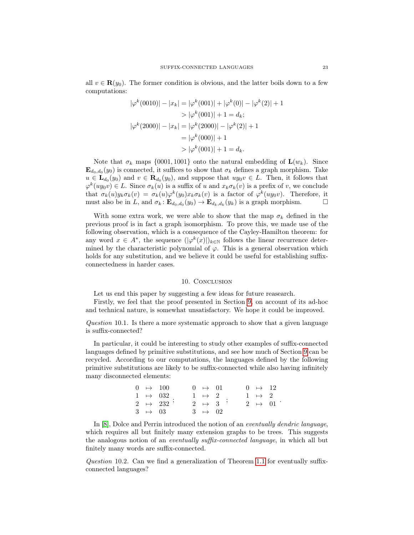all  $v \in \mathbf{R}(y_0)$ . The former condition is obvious, and the latter boils down to a few computations:

$$
|\varphi^k(0010)| - |x_k| = |\varphi^k(001)| + |\varphi^k(0)| - |\varphi^k(2)| + 1
$$
  
> 
$$
|\varphi^k(001)| + 1 = d_k;
$$
  

$$
|\varphi^k(2000)| - |x_k| = |\varphi^k(2000)| - |\varphi^k(2)| + 1
$$
  
= 
$$
|\varphi^k(000)| + 1
$$
  
> 
$$
|\varphi^k(001)| + 1 = d_k.
$$

Note that  $\sigma_k$  maps {0001, 1001} onto the natural embedding of  $\mathbf{L}(w_k)$ . Since  $\mathbf{E}_{d_0,d_0}(y_0)$  is connected, it suffices to show that  $\sigma_k$  defines a graph morphism. Take  $u \in \mathbf{L}_{d_0}(y_0)$  and  $v \in \mathbf{R}_{d_0}(y_0)$ , and suppose that  $uy_0v \in L$ . Then, it follows that  $\varphi^k(uy_0v) \in L$ . Since  $\sigma_k(u)$  is a suffix of u and  $x_k \sigma_k(v)$  is a prefix of v, we conclude that  $\sigma_k(u)y_k\sigma_k(v) = \sigma_k(u)\varphi^k(y_0)x_k\sigma_k(v)$  is a factor of  $\varphi^k(uy_0v)$ . Therefore, it must also be in L, and  $\sigma_k : \mathbf{E}_{d_0,d_0}(y_0) \to \mathbf{E}_{d_k,d_k}(y_k)$  is a graph morphism.

With some extra work, we were able to show that the map  $\sigma_k$  defined in the previous proof is in fact a graph isomorphism. To prove this, we made use of the following observation, which is a consequence of the Cayley-Hamilton theorem: for any word  $x \in A^*$ , the sequence  $(|\varphi^k(x)|)_{k \in \mathbb{N}}$  follows the linear recurrence determined by the characteristic polynomial of  $\varphi$ . This is a general observation which holds for any substitution, and we believe it could be useful for establishing suffixconnectedness in harder cases.

## 10. CONCLUSION

Let us end this paper by suggesting a few ideas for future reasearch.

Firstly, we feel that the proof presented in Section [9,](#page-15-0) on account of its ad-hoc and technical nature, is somewhat unsatisfactory. We hope it could be improved.

Question 10.1. Is there a more systematic approach to show that a given language is suffix-connected?

In particular, it could be interesting to study other examples of suffix-connected languages defined by primitive substitutions, and see how much of Section [9](#page-15-0) can be recycled. According to our computations, the languages defined by the following primitive substitutions are likely to be suffix-connected while also having infinitely many disconnected elements:

> $0 \rightarrow 100$  $1 \rightarrow 032$  $2 \rightarrow$  $3 \rightarrow 03$  $\frac{552}{232}$ ;  $0 \rightarrow 01$  $1 \rightarrow 2$  $\begin{array}{cccc} 1 & \cdots & 2 \\ 2 & \mapsto & 3 \end{array}$ ;  $3 \rightarrow 02$ 0 7→ 12  $\begin{array}{ccc} 1 & \mapsto & 2 \\ 2 & \mapsto & 01 \end{array}$ .

In [\[8\]](#page-23-3), Dolce and Perrin introduced the notion of an eventually dendric language, which requires all but finitely many extension graphs to be trees. This suggests the analogous notion of an eventually suffix-connected language, in which all but finitely many words are suffix-connected.

Question 10.2. Can we find a generalization of Theorem [1.1](#page-0-0) for eventually suffixconnected languages?